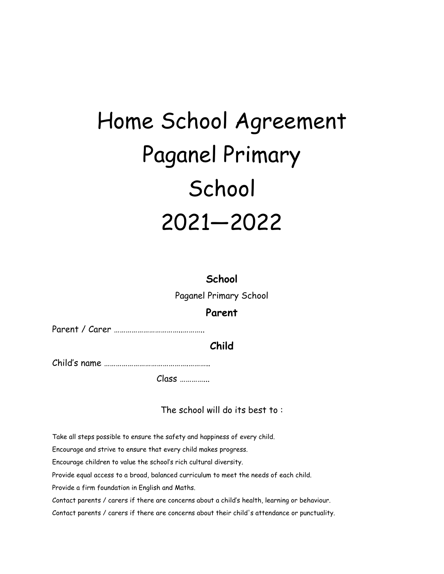## Home School Agreement Paganel Primary School 2021—2022

**School**  Paganel Primary School **Parent** 

Parent / Carer ……………………………..………..

**Child** 

Child's name …………………………………….………..

Class …………...

The school will do its best to :

Take all steps possible to ensure the safety and happiness of every child.

Encourage and strive to ensure that every child makes progress.

Encourage children to value the school's rich cultural diversity.

Provide equal access to a broad, balanced curriculum to meet the needs of each child.

Provide a firm foundation in English and Maths.

Contact parents / carers if there are concerns about a child's health, learning or behaviour.

Contact parents / carers if there are concerns about their child's attendance or punctuality.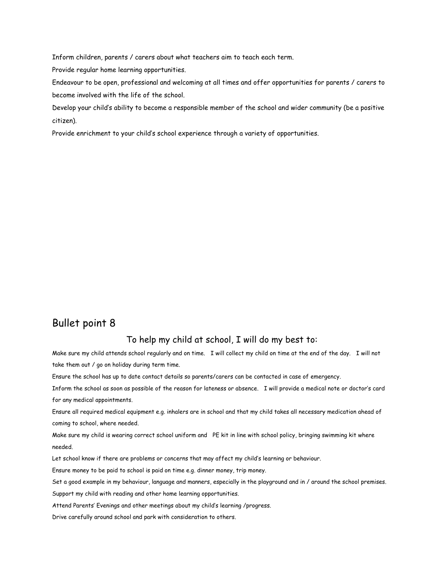Inform children, parents / carers about what teachers aim to teach each term.

Provide regular home learning opportunities.

Endeavour to be open, professional and welcoming at all times and offer opportunities for parents / carers to become involved with the life of the school.

Develop your child's ability to become a responsible member of the school and wider community (be a positive citizen).

Provide enrichment to your child's school experience through a variety of opportunities.

## Bullet point 8

## To help my child at school, I will do my best to:

Make sure my child attends school regularly and on time. I will collect my child on time at the end of the day. I will not take them out / go on holiday during term time.

Ensure the school has up to date contact details so parents/carers can be contacted in case of emergency.

Inform the school as soon as possible of the reason for lateness or absence. I will provide a medical note or doctor's card for any medical appointments.

Ensure all required medical equipment e.g. inhalers are in school and that my child takes all necessary medication ahead of coming to school, where needed.

Make sure my child is wearing correct school uniform and PE kit in line with school policy, bringing swimming kit where needed.

Let school know if there are problems or concerns that may affect my child's learning or behaviour.

Ensure money to be paid to school is paid on time e.g. dinner money, trip money.

Set a good example in my behaviour, language and manners, especially in the playground and in / around the school premises.

Support my child with reading and other home learning opportunities.

Attend Parents' Evenings and other meetings about my child's learning /progress.

Drive carefully around school and park with consideration to others.